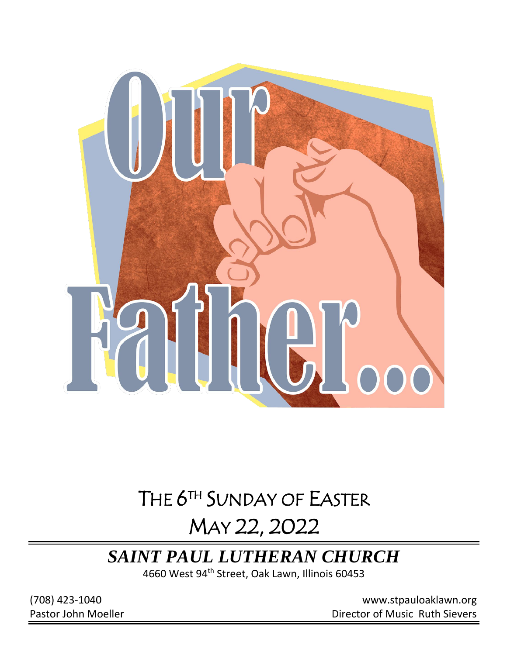

# THE 6<sup>TH</sup> SUNDAY OF EASTER

# MAY 22, 2022

# *SAINT PAUL LUTHERAN CHURCH*

4660 West 94th Street, Oak Lawn, Illinois 60453

(708) 423-1040 [www.stpauloaklawn.org](about:blank) Pastor John Moeller **Director of Music Ruth Sievers**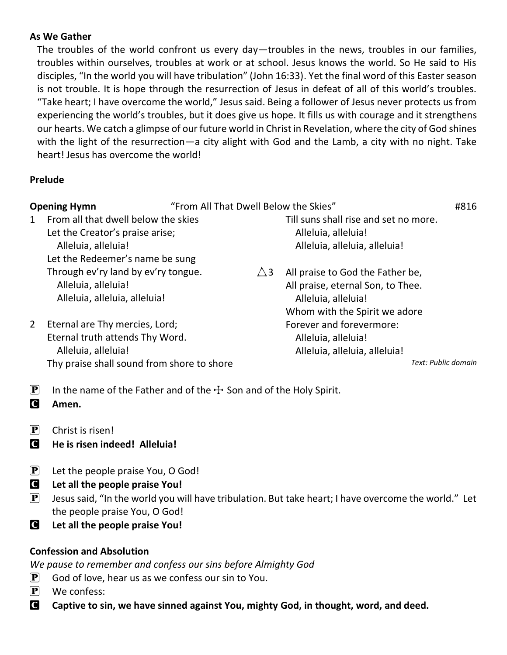#### **As We Gather**

The troubles of the world confront us every day—troubles in the news, troubles in our families, troubles within ourselves, troubles at work or at school. Jesus knows the world. So He said to His disciples, "In the world you will have tribulation" (John 16:33). Yet the final word of this Easter season is not trouble. It is hope through the resurrection of Jesus in defeat of all of this world's troubles. "Take heart; I have overcome the world," Jesus said. Being a follower of Jesus never protects us from experiencing the world's troubles, but it does give us hope. It fills us with courage and it strengthens our hearts. We catch a glimpse of our future world in Christ in Revelation, where the city of God shines with the light of the resurrection—a city alight with God and the Lamb, a city with no night. Take heart! Jesus has overcome the world!

### **Prelude**

| "From All That Dwell Below the Skies"<br><b>Opening Hymn</b> |                                                                                                                                        |               |                                                                                                                               | #816 |
|--------------------------------------------------------------|----------------------------------------------------------------------------------------------------------------------------------------|---------------|-------------------------------------------------------------------------------------------------------------------------------|------|
| 1                                                            | From all that dwell below the skies<br>Let the Creator's praise arise;<br>Alleluia, alleluia!<br>Let the Redeemer's name be sung       |               | Till suns shall rise and set no more.<br>Alleluia, alleluia!<br>Alleluia, alleluia, alleluia!                                 |      |
|                                                              | Through ev'ry land by ev'ry tongue.<br>Alleluia, alleluia!<br>Alleluia, alleluia, alleluia!                                            | $\triangle$ 3 | All praise to God the Father be,<br>All praise, eternal Son, to Thee.<br>Alleluia, alleluia!<br>Whom with the Spirit we adore |      |
| $\overline{2}$                                               | Eternal are Thy mercies, Lord;<br>Eternal truth attends Thy Word.<br>Alleluia, alleluia!<br>Thy praise shall sound from shore to shore |               | Forever and forevermore:<br>Alleluia, alleluia!<br>Alleluia, alleluia, alleluia!<br>Text: Public domain                       |      |
| $\left[ \mathbf{P}\right]$                                   | In the name of the Father and of the $+$ Son and of the Holy Spirit.                                                                   |               |                                                                                                                               |      |

- C **Amen.**
- $\left| \mathbf{P} \right|$  Christ is risen!
- C **He is risen indeed! Alleluia!**
- $\mathbf{P}$  Let the people praise You, O God!
- C **Let all the people praise You!**
- **P** Jesus said, "In the world you will have tribulation. But take heart; I have overcome the world." Let the people praise You, O God!
- C **Let all the people praise You!**

### **Confession and Absolution**

*We pause to remember and confess our sins before Almighty God*

- $\mathbf{P}$  God of love, hear us as we confess our sin to You.
- $\left| \mathbf{P} \right|$  We confess:
- **C** Captive to sin, we have sinned against You, mighty God, in thought, word, and deed.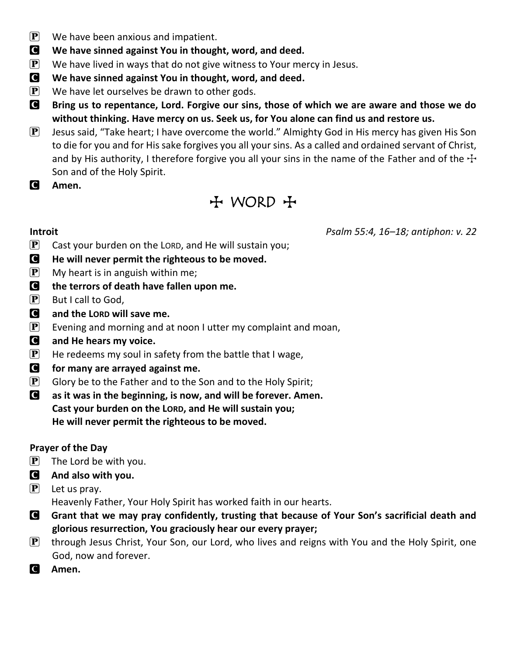- $\left| \mathbf{P} \right|$  We have been anxious and impatient.
- C **We have sinned against You in thought, word, and deed.**
- $\mathbf{P}$  We have lived in ways that do not give witness to Your mercy in Jesus.
- C **We have sinned against You in thought, word, and deed.**
- $\left| \mathbf{P} \right|$  We have let ourselves be drawn to other gods.
- C **Bring us to repentance, Lord. Forgive our sins, those of which we are aware and those we do without thinking. Have mercy on us. Seek us, for You alone can find us and restore us.**
- **P** Jesus said, "Take heart; I have overcome the world." Almighty God in His mercy has given His Son to die for you and for His sake forgives you all your sins. As a called and ordained servant of Christ, and by His authority, I therefore forgive you all your sins in the name of the Father and of the  $\pm$ Son and of the Holy Spirit.
- C **Amen.**

## $H$  WORD  $H$

**Introit** *Psalm 55:4, 16–18; antiphon: v. 22*

- $\mathbf{P}$  Cast your burden on the LORD, and He will sustain you;
- C **He will never permit the righteous to be moved.**
- $\mathbf{P}$  My heart is in anguish within me;
- C **the terrors of death have fallen upon me.**
- $\left[ \mathbf{P} \right]$  But I call to God,
- C **and the LORD will save me.**
- **P** Evening and morning and at noon I utter my complaint and moan,
- C **and He hears my voice.**
- $\mathbf{P}$  He redeems my soul in safety from the battle that I wage,
- C **for many are arrayed against me.**
- $\mathbf{P}$  Glory be to the Father and to the Son and to the Holy Spirit;
- C **as it was in the beginning, is now, and will be forever. Amen. Cast your burden on the LORD, and He will sustain you; He will never permit the righteous to be moved.**

### **Prayer of the Day**

- $\mathbf{P}$  The Lord be with you.
- C **And also with you.**
- $\mathbf{P}$  Let us pray.

Heavenly Father, Your Holy Spirit has worked faith in our hearts.

- C **Grant that we may pray confidently, trusting that because of Your Son's sacrificial death and glorious resurrection, You graciously hear our every prayer;**
- **P** through Jesus Christ, Your Son, our Lord, who lives and reigns with You and the Holy Spirit, one God, now and forever.
- C **Amen.**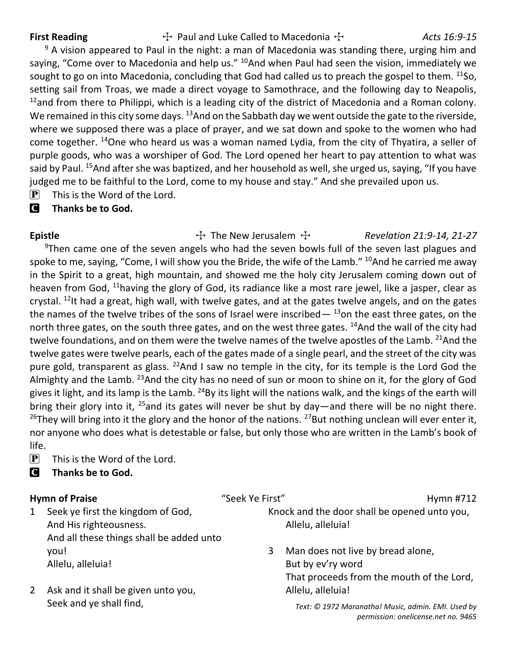First Reading **The Called Luke Called to Macedonia The Called Trust** Acts 16:9-15

 $9$  A vision appeared to Paul in the night: a man of Macedonia was standing there, urging him and saying, "Come over to Macedonia and help us." <sup>10</sup>And when Paul had seen the vision, immediately we sought to go on into Macedonia, concluding that God had called us to preach the gospel to them.  $^{11}$ So, setting sail from Troas, we made a direct voyage to Samothrace, and the following day to Neapolis,  $12$ and from there to Philippi, which is a leading city of the district of Macedonia and a Roman colony. We remained in this city some days.  $^{13}$ And on the Sabbath day we went outside the gate to the riverside, where we supposed there was a place of prayer, and we sat down and spoke to the women who had come together. <sup>14</sup>One who heard us was a woman named Lydia, from the city of Thyatira, a seller of purple goods, who was a worshiper of God. The Lord opened her heart to pay attention to what was said by Paul. <sup>15</sup>And after she was baptized, and her household as well, she urged us, saying, "If you have judged me to be faithful to the Lord, come to my house and stay." And she prevailed upon us.

 $[P]$  This is the Word of the Lord.

### C **Thanks be to God.**

Epistle The New Jerusalem T Revelation 21:9-14, 21-27 <sup>9</sup>Then came one of the seven angels who had the seven bowls full of the seven last plagues and spoke to me, saying, "Come, I will show you the Bride, the wife of the Lamb."  $^{10}$ And he carried me away in the Spirit to a great, high mountain, and showed me the holy city Jerusalem coming down out of heaven from God, <sup>11</sup>having the glory of God, its radiance like a most rare jewel, like a jasper, clear as crystal.  $^{12}$ It had a great, high wall, with twelve gates, and at the gates twelve angels, and on the gates the names of the twelve tribes of the sons of Israel were inscribed  $-$  <sup>13</sup>on the east three gates, on the north three gates, on the south three gates, and on the west three gates. <sup>14</sup>And the wall of the city had twelve foundations, and on them were the twelve names of the twelve apostles of the Lamb. <sup>21</sup>And the twelve gates were twelve pearls, each of the gates made of a single pearl, and the street of the city was pure gold, transparent as glass.  $^{22}$ And I saw no temple in the city, for its temple is the Lord God the Almighty and the Lamb. <sup>23</sup>And the city has no need of sun or moon to shine on it, for the glory of God gives it light, and its lamp is the Lamb. <sup>24</sup>By its light will the nations walk, and the kings of the earth will bring their glory into it,  $^{25}$ and its gates will never be shut by day—and there will be no night there. <sup>26</sup>They will bring into it the glory and the honor of the nations. <sup>27</sup>But nothing unclean will ever enter it, nor anyone who does what is detestable or false, but only those who are written in the Lamb's book of life.

- $\left| \mathbf{P} \right|$  This is the Word of the Lord.
- C **Thanks be to God.**

### **Hymn of Praise** The Term of Praise the Seek Ye First" The Seek Yessex Alleman Article Hymn #712

1 Seek ye first the kingdom of God, And His righteousness. And all these things shall be added unto you! Allelu, alleluia!

2 Ask and it shall be given unto you, Seek and ye shall find,

Knock and the door shall be opened unto you, Allelu, alleluia!

3 Man does not live by bread alone, But by ev'ry word That proceeds from the mouth of the Lord, Allelu, alleluia!

> *Text: © 1972 Maranatha! Music, admin. EMI. Used by permission: onelicense.net no. 9465*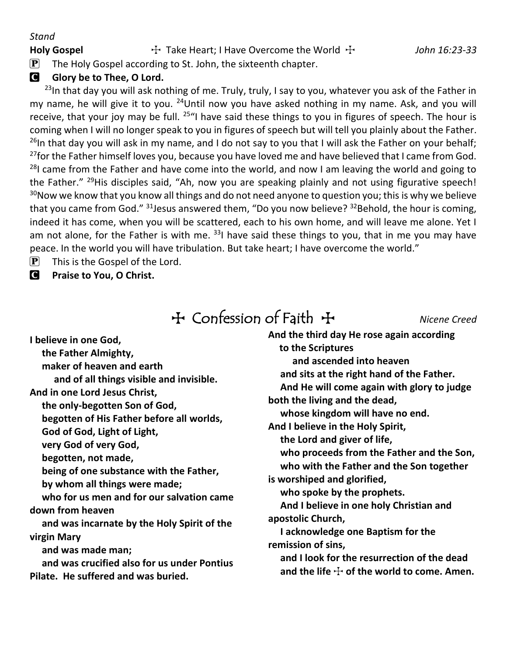#### *Stand*

Holy Gospel **The Heart**; I Have Overcome the World  $\ddot{\textbf{r}}$  and the *John 16:23-33* 

### **G** Glory be to Thee, O Lord.

 $^{23}$ In that day you will ask nothing of me. Truly, truly, I say to you, whatever you ask of the Father in my name, he will give it to you.  $^{24}$ Until now you have asked nothing in my name. Ask, and you will receive, that your joy may be full.  $25<sup>u</sup>$  have said these things to you in figures of speech. The hour is coming when I will no longer speak to you in figures of speech but will tell you plainly about the Father. <sup>26</sup>In that day you will ask in my name, and I do not say to you that I will ask the Father on your behalf; <sup>27</sup>for the Father himself loves you, because you have loved me and have believed that I came from God. <sup>28</sup>I came from the Father and have come into the world, and now I am leaving the world and going to the Father."  $^{29}$ His disciples said, "Ah, now you are speaking plainly and not using figurative speech!  $30$ Now we know that you know all things and do not need anyone to question you; this is why we believe that you came from God."  $31$  Jesus answered them, "Do you now believe?  $32$  Behold, the hour is coming, indeed it has come, when you will be scattered, each to his own home, and will leave me alone. Yet I am not alone, for the Father is with me.  $33$  have said these things to you, that in me you may have peace. In the world you will have tribulation. But take heart; I have overcome the world."

- $\left| \mathbf{P} \right|$  This is the Gospel of the Lord.
- C **Praise to You, O Christ.**

## TConfession of Faith T *Nicene Creed*

**I believe in one God,**

**the Father Almighty,**

**maker of heaven and earth**

**and of all things visible and invisible.**

**And in one Lord Jesus Christ,**

**the only-begotten Son of God,**

**begotten of His Father before all worlds,**

**God of God, Light of Light,**

**very God of very God,**

**begotten, not made,**

**being of one substance with the Father,**

**by whom all things were made;**

**who for us men and for our salvation came down from heaven**

**and was incarnate by the Holy Spirit of the virgin Mary**

**and was made man;**

**and was crucified also for us under Pontius Pilate. He suffered and was buried.**

**And the third day He rose again according to the Scriptures and ascended into heaven and sits at the right hand of the Father. And He will come again with glory to judge both the living and the dead, whose kingdom will have no end. And I believe in the Holy Spirit, the Lord and giver of life, who proceeds from the Father and the Son, who with the Father and the Son together is worshiped and glorified, who spoke by the prophets. And I believe in one holy Christian and apostolic Church, I acknowledge one Baptism for the remission of sins, and I look for the resurrection of the dead** and the life  $\pm$  of the world to come. Amen.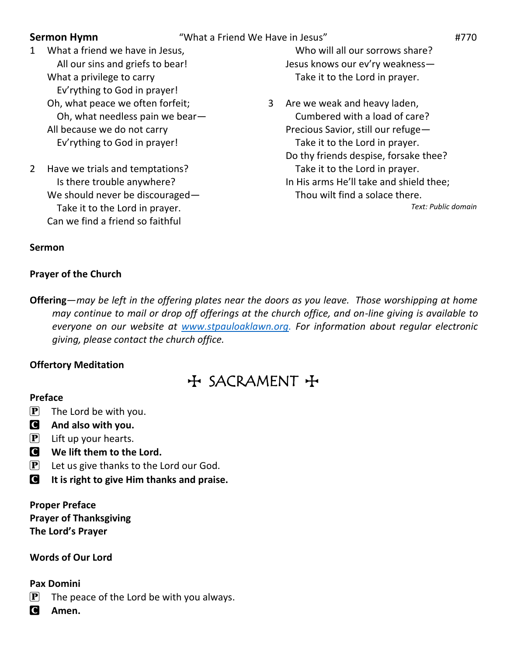- **Sermon Hymn** "What a Friend We Have in Jesus" **1770**
- 1 What a friend we have in Jesus, All our sins and griefs to bear! What a privilege to carry Ev'rything to God in prayer! Oh, what peace we often forfeit; Oh, what needless pain we bear— All because we do not carry Ev'rything to God in prayer!
- 2 Have we trials and temptations? Is there trouble anywhere? We should never be discouraged— Take it to the Lord in prayer. Can we find a friend so faithful

Who will all our sorrows share? Jesus knows our ev'ry weakness— Take it to the Lord in prayer.

3 Are we weak and heavy laden, Cumbered with a load of care? Precious Savior, still our refuge— Take it to the Lord in prayer. Do thy friends despise, forsake thee? Take it to the Lord in prayer. In His arms He'll take and shield thee; Thou wilt find a solace there.

*Text: Public domain*

#### **Sermon**

#### **Prayer of the Church**

**Offering**—*may be left in the offering plates near the doors as you leave. Those worshipping at home may continue to mail or drop off offerings at the church office, and on-line giving is available to everyone on our website at [www.stpauloaklawn.org.](http://www.stpauloaklawn.org/) For information about regular electronic giving, please contact the church office.* 

### **Offertory Meditation**

 $H$  SACRAMENT +

#### **Preface**

- $\left[\mathbf{P}\right]$  The Lord be with you.
- C **And also with you.**
- $\left| \mathbf{P} \right|$  Lift up your hearts.
- **C** We lift them to the Lord.
- $\mathbf{P}$  Let us give thanks to the Lord our God.
- C **It is right to give Him thanks and praise.**

**Proper Preface Prayer of Thanksgiving The Lord's Prayer**

### **Words of Our Lord**

#### **Pax Domini**

- $\left| \mathbf{P} \right|$  The peace of the Lord be with you always.
- C **Amen.**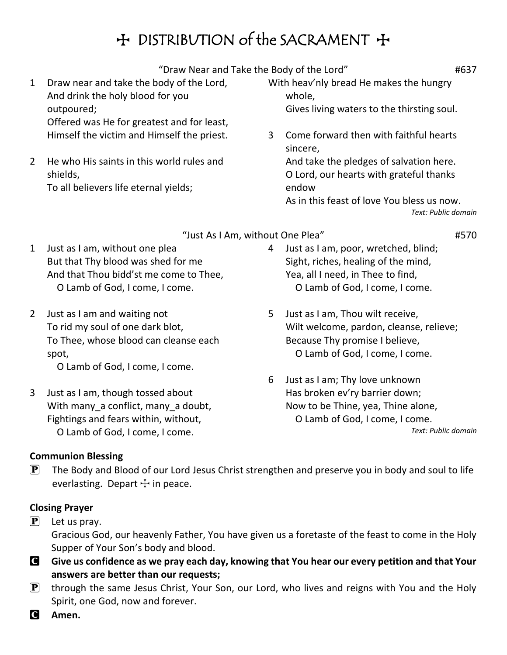## H DISTRIBUTION of the SACRAMENT +

"Draw Near and Take the Body of the Lord" **1637** 

- 1 Draw near and take the body of the Lord, And drink the holy blood for you outpoured; Offered was He for greatest and for least, Himself the victim and Himself the priest.
- 2 He who His saints in this world rules and shields, To all believers life eternal yields;
- With heav'nly bread He makes the hungry whole, Gives living waters to the thirsting soul.
- 3 Come forward then with faithful hearts sincere, And take the pledges of salvation here. O Lord, our hearts with grateful thanks endow As in this feast of love You bless us now. *Text: Public domain*

- "Just As I Am, without One Plea" #570
- 1 Just as I am, without one plea But that Thy blood was shed for me And that Thou bidd'st me come to Thee, O Lamb of God, I come, I come.
- 2 Just as I am and waiting not To rid my soul of one dark blot, To Thee, whose blood can cleanse each spot,

O Lamb of God, I come, I come.

3 Just as I am, though tossed about With many a conflict, many a doubt, Fightings and fears within, without, O Lamb of God, I come, I come.

- 4 Just as I am, poor, wretched, blind; Sight, riches, healing of the mind, Yea, all I need, in Thee to find, O Lamb of God, I come, I come.
- 5 Just as I am, Thou wilt receive, Wilt welcome, pardon, cleanse, relieve; Because Thy promise I believe, O Lamb of God, I come, I come.
- 6 Just as I am; Thy love unknown Has broken ev'ry barrier down; Now to be Thine, yea, Thine alone, O Lamb of God, I come, I come. *Text: Public domain*

### **Communion Blessing**

 $\mathbf{P}$  The Body and Blood of our Lord Jesus Christ strengthen and preserve you in body and soul to life everlasting. Depart  $+$  in peace.

### **Closing Prayer**

 $\mathbf{P}$  Let us pray.

Gracious God, our heavenly Father, You have given us a foretaste of the feast to come in the Holy Supper of Your Son's body and blood.

- C **Give us confidence as we pray each day, knowing that You hear our every petition and that Your answers are better than our requests;**
- $\mathbf{P}$  through the same Jesus Christ, Your Son, our Lord, who lives and reigns with You and the Holy Spirit, one God, now and forever.
- C **Amen.**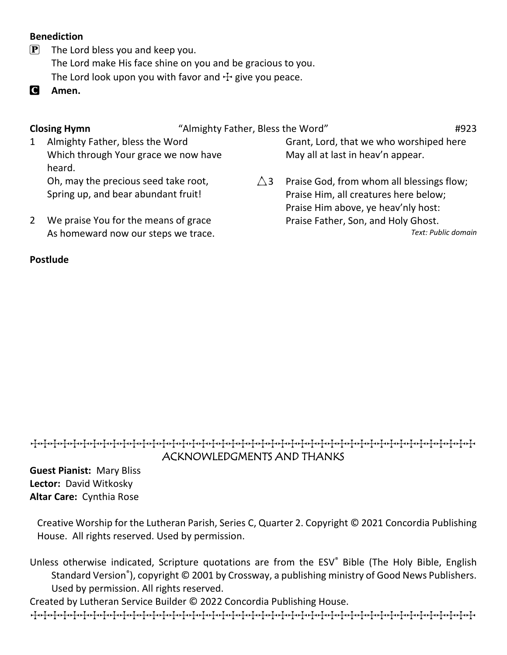### **Benediction**

- $\boxed{\mathbf{P}}$  The Lord bless you and keep you. The Lord make His face shine on you and be gracious to you. The Lord look upon you with favor and  $\pm$  give you peace.
- C **Amen.**

**Closing Hymn**  $\qquad$  "Almighty Father, Bless the Word"  $\qquad$  #923

1 Almighty Father, bless the Word Which through Your grace we now have heard.

Oh, may the precious seed take root, Spring up, and bear abundant fruit!

2 We praise You for the means of grace As homeward now our steps we trace.

### **Postlude**

Grant, Lord, that we who worshiped here May all at last in heav'n appear.

 $\triangle$ 3 Praise God, from whom all blessings flow; Praise Him, all creatures here below; Praise Him above, ye heav'nly host: Praise Father, Son, and Holy Ghost.

*Text: Public domain*

### TTTTTTTTTTTTTTTTTTTTTTTTTTTTTTTTTTTTTTTTTTTTT ACKNOWLEDGMENTS AND THANKS

**Guest Pianist:** Mary Bliss **Lector:** David Witkosky **Altar Care:** Cynthia Rose

Creative Worship for the Lutheran Parish, Series C, Quarter 2. Copyright © 2021 Concordia Publishing House. All rights reserved. Used by permission.

Unless otherwise indicated, Scripture quotations are from the ESV® Bible (The Holy Bible, English Standard Version® ), copyright © 2001 by Crossway, a publishing ministry of Good News Publishers. Used by permission. All rights reserved.

Created by Lutheran Service Builder © 2022 Concordia Publishing House.

TTTTTTTTTTTTTTTTTTTTTTTTTTTTTTTTTTTTTTTTTTTTT